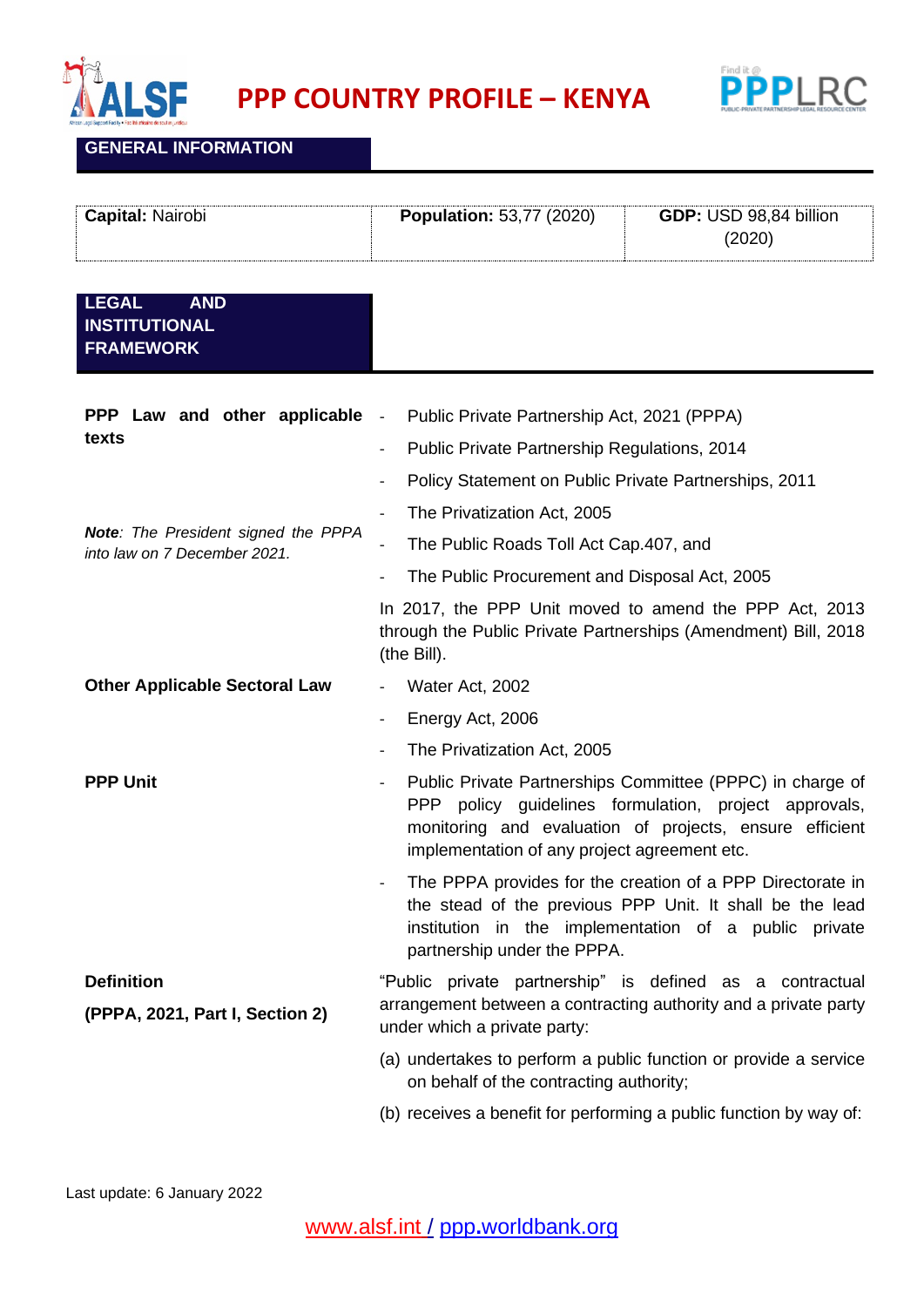



## **GENERAL INFORMATION**

| <b>Capital: Nairobi</b> | <b>Population: 53,77 (2020)</b> | GDP: USD 98,84 billion |
|-------------------------|---------------------------------|------------------------|
|                         |                                 | (2020)                 |

## **LEGAL AND INSTITUTIONAL FRAMEWORK**

| PPP Law and other applicable<br>texts<br>Note: The President signed the PPPA<br>into law on 7 December 2021. | Public Private Partnership Act, 2021 (PPPA)<br>$\overline{\phantom{a}}$                                                                                                                                                       |
|--------------------------------------------------------------------------------------------------------------|-------------------------------------------------------------------------------------------------------------------------------------------------------------------------------------------------------------------------------|
|                                                                                                              | Public Private Partnership Regulations, 2014                                                                                                                                                                                  |
|                                                                                                              | Policy Statement on Public Private Partnerships, 2011                                                                                                                                                                         |
|                                                                                                              | The Privatization Act, 2005<br>$\qquad \qquad \blacksquare$                                                                                                                                                                   |
|                                                                                                              | The Public Roads Toll Act Cap.407, and<br>$\frac{1}{2}$                                                                                                                                                                       |
|                                                                                                              | The Public Procurement and Disposal Act, 2005<br>$\qquad \qquad -$                                                                                                                                                            |
|                                                                                                              | In 2017, the PPP Unit moved to amend the PPP Act, 2013<br>through the Public Private Partnerships (Amendment) Bill, 2018<br>(the Bill).                                                                                       |
| <b>Other Applicable Sectoral Law</b>                                                                         | Water Act, 2002                                                                                                                                                                                                               |
|                                                                                                              | Energy Act, 2006<br>$\overline{a}$                                                                                                                                                                                            |
|                                                                                                              | The Privatization Act, 2005<br>$\overline{\phantom{0}}$                                                                                                                                                                       |
| <b>PPP Unit</b>                                                                                              | Public Private Partnerships Committee (PPPC) in charge of<br>PPP policy guidelines formulation, project approvals,<br>monitoring and evaluation of projects, ensure efficient<br>implementation of any project agreement etc. |
|                                                                                                              | The PPPA provides for the creation of a PPP Directorate in<br>the stead of the previous PPP Unit. It shall be the lead<br>institution in the implementation of a public private<br>partnership under the PPPA.                |
| <b>Definition</b><br>(PPPA, 2021, Part I, Section 2)                                                         | "Public private partnership" is defined as a contractual<br>arrangement between a contracting authority and a private party<br>under which a private party:                                                                   |
|                                                                                                              | (a) undertakes to perform a public function or provide a service<br>on behalf of the contracting authority;                                                                                                                   |
|                                                                                                              | (b) receives a benefit for performing a public function by way of:                                                                                                                                                            |
|                                                                                                              |                                                                                                                                                                                                                               |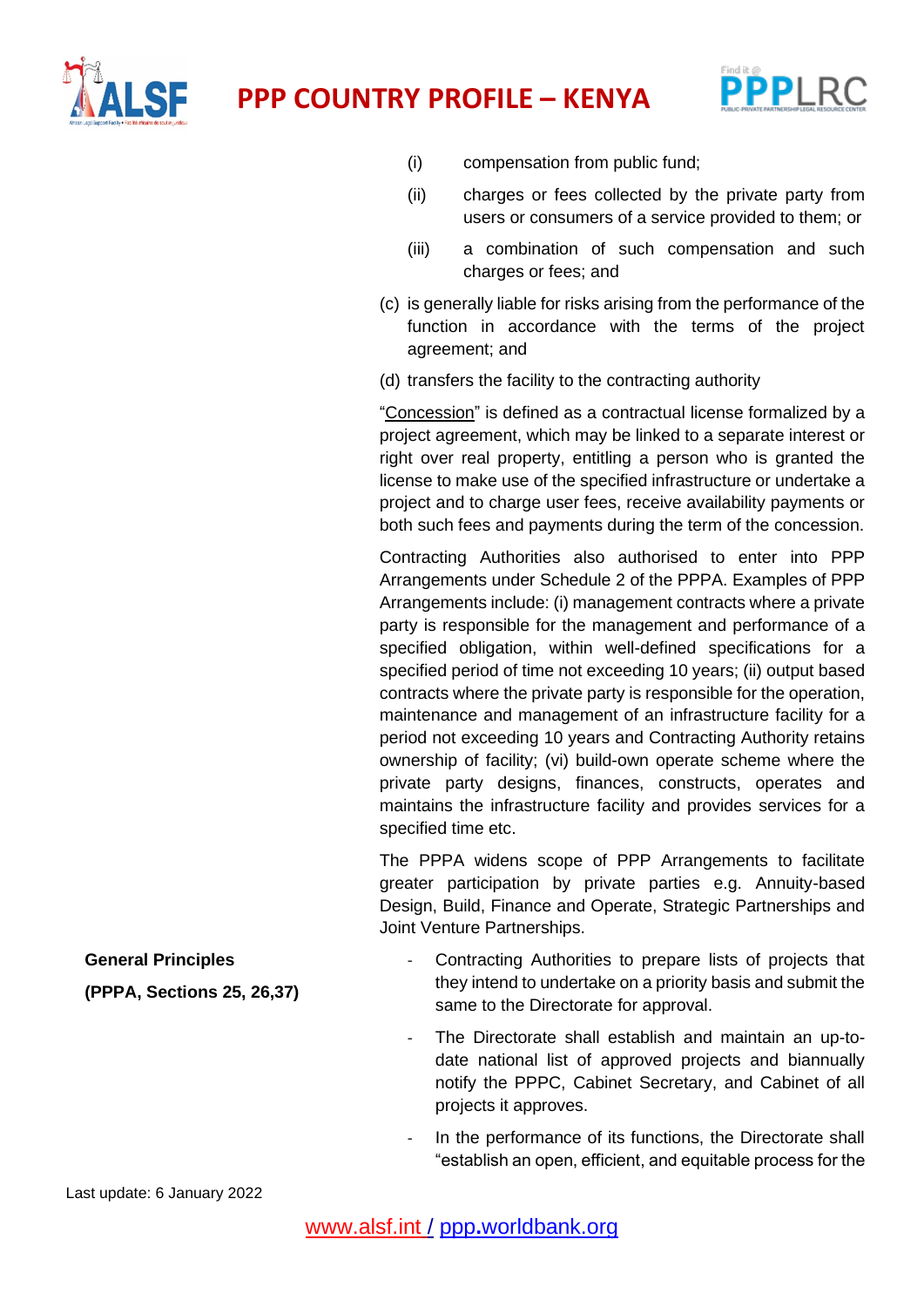



- (i) compensation from public fund;
- (ii) charges or fees collected by the private party from users or consumers of a service provided to them; or
- (iii) a combination of such compensation and such charges or fees; and
- (c) is generally liable for risks arising from the performance of the function in accordance with the terms of the project agreement; and
- (d) transfers the facility to the contracting authority

"Concession" is defined as a contractual license formalized by a project agreement, which may be linked to a separate interest or right over real property, entitling a person who is granted the license to make use of the specified infrastructure or undertake a project and to charge user fees, receive availability payments or both such fees and payments during the term of the concession.

Contracting Authorities also authorised to enter into PPP Arrangements under Schedule 2 of the PPPA. Examples of PPP Arrangements include: (i) management contracts where a private party is responsible for the management and performance of a specified obligation, within well-defined specifications for a specified period of time not exceeding 10 years; (ii) output based contracts where the private party is responsible for the operation, maintenance and management of an infrastructure facility for a period not exceeding 10 years and Contracting Authority retains ownership of facility; (vi) build-own operate scheme where the private party designs, finances, constructs, operates and maintains the infrastructure facility and provides services for a specified time etc.

The PPPA widens scope of PPP Arrangements to facilitate greater participation by private parties e.g. Annuity-based Design, Build, Finance and Operate, Strategic Partnerships and Joint Venture Partnerships.

- **General Principles (PPPA, Sections 25, 26,37)** Contracting Authorities to prepare lists of projects that they intend to undertake on a priority basis and submit the same to the Directorate for approval.
	- The Directorate shall establish and maintain an up-todate national list of approved projects and biannually notify the PPPC, Cabinet Secretary, and Cabinet of all projects it approves.
	- In the performance of its functions, the Directorate shall "establish an open, efficient, and equitable process for the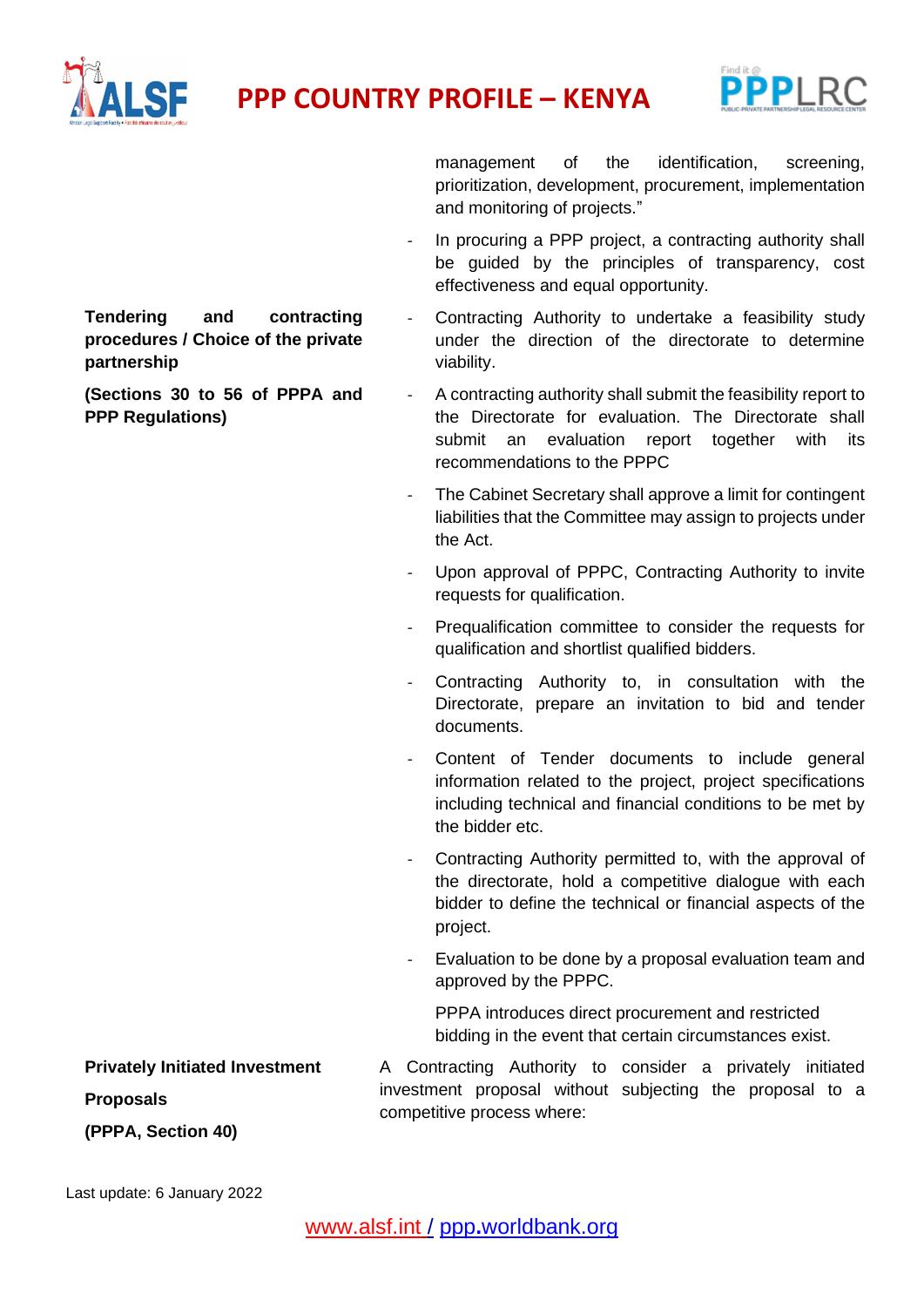



**Tendering and contracting procedures / Choice of the private partnership**

**(Sections 30 to 56 of PPPA and PPP Regulations)**

management of the identification, screening, prioritization, development, procurement, implementation and monitoring of projects."

- In procuring a PPP project, a contracting authority shall be guided by the principles of transparency, cost effectiveness and equal opportunity.
- Contracting Authority to undertake a feasibility study under the direction of the directorate to determine viability.
- A contracting authority shall submit the feasibility report to the Directorate for evaluation. The Directorate shall submit an evaluation report together with its recommendations to the PPPC
- The Cabinet Secretary shall approve a limit for contingent liabilities that the Committee may assign to projects under the Act.
- Upon approval of PPPC, Contracting Authority to invite requests for qualification.
- Prequalification committee to consider the requests for qualification and shortlist qualified bidders.
- Contracting Authority to, in consultation with the Directorate, prepare an invitation to bid and tender documents.
- Content of Tender documents to include general information related to the project, project specifications including technical and financial conditions to be met by the bidder etc.
- Contracting Authority permitted to, with the approval of the directorate, hold a competitive dialogue with each bidder to define the technical or financial aspects of the project.
- Evaluation to be done by a proposal evaluation team and approved by the PPPC.

PPPA introduces direct procurement and restricted bidding in the event that certain circumstances exist.

A Contracting Authority to consider a privately initiated investment proposal without subjecting the proposal to a competitive process where:

**Privately Initiated Investment** 

**Proposals**

**(PPPA, Section 40)**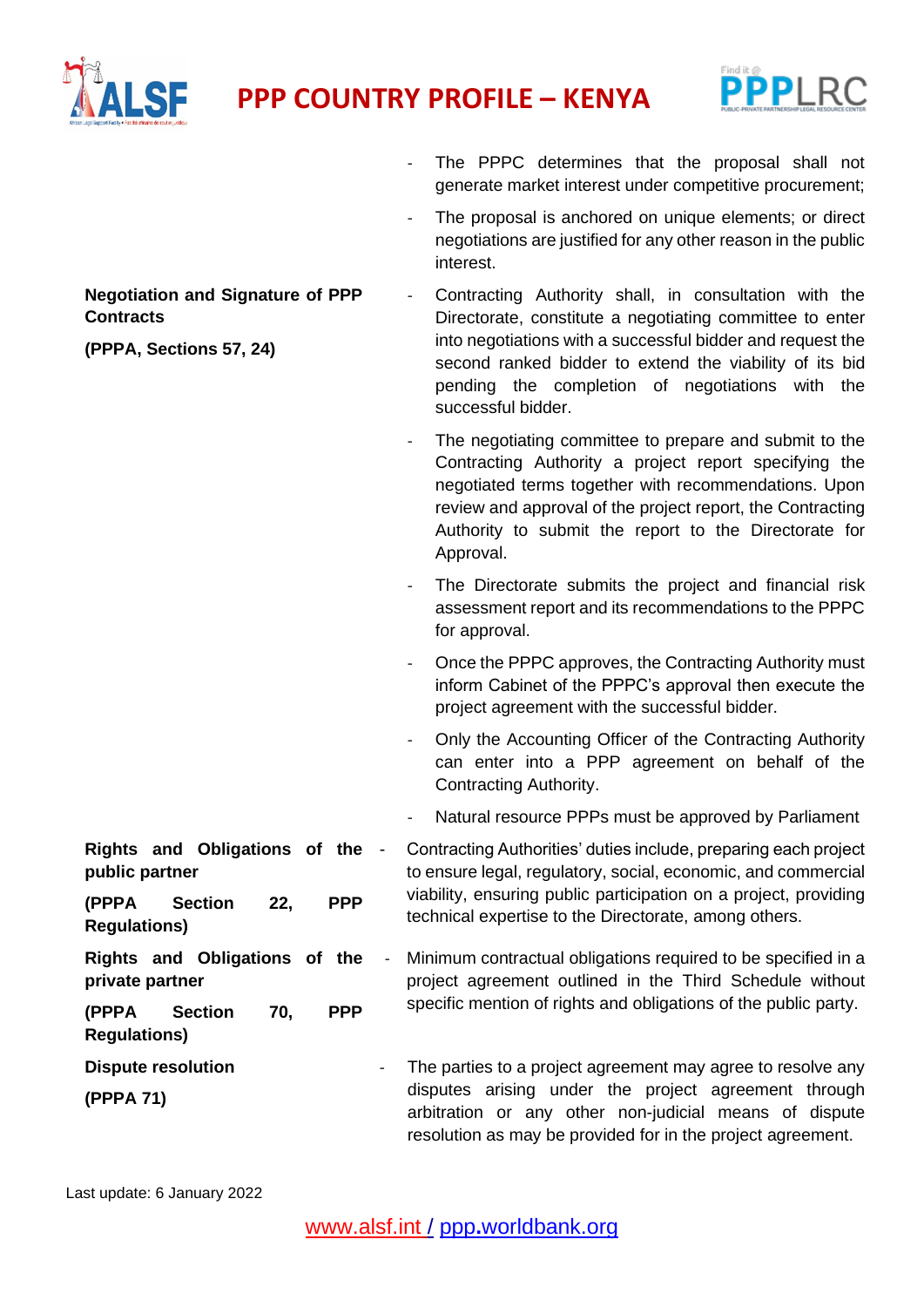



- The PPPC determines that the proposal shall not generate market interest under competitive procurement;

- The proposal is anchored on unique elements; or direct

|                                                                                        | negotiations are justified for any other reason in the public<br>interest.                                                                                                                                                                                                                                                               |  |
|----------------------------------------------------------------------------------------|------------------------------------------------------------------------------------------------------------------------------------------------------------------------------------------------------------------------------------------------------------------------------------------------------------------------------------------|--|
| <b>Negotiation and Signature of PPP</b><br><b>Contracts</b><br>(PPPA, Sections 57, 24) | Contracting Authority shall, in consultation with the<br>$\qquad \qquad -$<br>Directorate, constitute a negotiating committee to enter<br>into negotiations with a successful bidder and request the<br>second ranked bidder to extend the viability of its bid<br>pending the completion of negotiations with the<br>successful bidder. |  |
|                                                                                        | The negotiating committee to prepare and submit to the<br>$\overline{\phantom{a}}$<br>Contracting Authority a project report specifying the<br>negotiated terms together with recommendations. Upon<br>review and approval of the project report, the Contracting<br>Authority to submit the report to the Directorate for<br>Approval.  |  |
|                                                                                        | The Directorate submits the project and financial risk<br>assessment report and its recommendations to the PPPC<br>for approval.                                                                                                                                                                                                         |  |
|                                                                                        | Once the PPPC approves, the Contracting Authority must<br>$\qquad \qquad \blacksquare$<br>inform Cabinet of the PPPC's approval then execute the<br>project agreement with the successful bidder.                                                                                                                                        |  |
|                                                                                        | Only the Accounting Officer of the Contracting Authority<br>$\overline{\phantom{a}}$<br>can enter into a PPP agreement on behalf of the<br>Contracting Authority.                                                                                                                                                                        |  |
|                                                                                        | Natural resource PPPs must be approved by Parliament                                                                                                                                                                                                                                                                                     |  |
| Rights and Obligations of the -<br>public partner                                      | Contracting Authorities' duties include, preparing each project<br>to ensure legal, regulatory, social, economic, and commercial<br>viability, ensuring public participation on a project, providing<br>technical expertise to the Directorate, among others.                                                                            |  |
| (PPPA<br><b>PPP</b><br><b>Section</b><br>22,<br><b>Regulations)</b>                    |                                                                                                                                                                                                                                                                                                                                          |  |
| Rights and Obligations of the<br>$\overline{\phantom{a}}$<br>private partner           | Minimum contractual obligations required to be specified in a<br>project agreement outlined in the Third Schedule without<br>specific mention of rights and obligations of the public party.                                                                                                                                             |  |
| <b>PPP</b><br>(PPPA<br><b>Section</b><br>70,<br><b>Regulations)</b>                    |                                                                                                                                                                                                                                                                                                                                          |  |
| <b>Dispute resolution</b><br>(PPPA 71)                                                 | The parties to a project agreement may agree to resolve any<br>disputes arising under the project agreement through<br>arbitration or any other non-judicial means of dispute<br>resolution as may be provided for in the project agreement.                                                                                             |  |